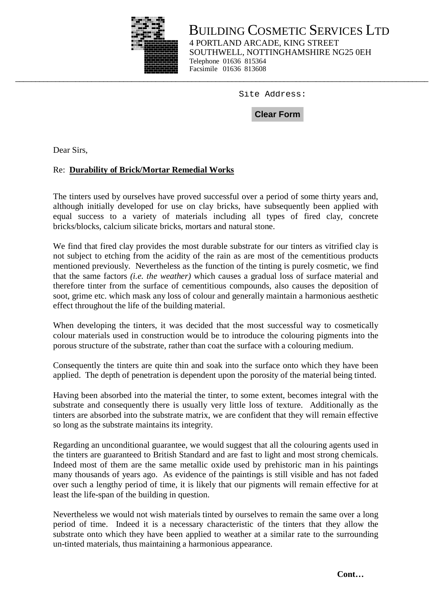

BUILDING COSMETIC SERVICES LTD 4 PORTLAND ARCADE, KING STREET SOUTHWELL, NOTTINGHAMSHIRE NG25 0EH Telephone 01636 815364 Facsimile 01636 813608

Site Address:<br>**Clear Form** 

Dear Sirs,

## Re: **Durability of Brick/Mortar Remedial Works**

The tinters used by ourselves have proved successful over a period of some thirty years and, although initially developed for use on clay bricks, have subsequently been applied with equal success to a variety of materials including all types of fired clay, concrete bricks/blocks, calcium silicate bricks, mortars and natural stone.

We find that fired clay provides the most durable substrate for our tinters as vitrified clay is not subject to etching from the acidity of the rain as are most of the cementitious products mentioned previously. Nevertheless as the function of the tinting is purely cosmetic, we find that the same factors *(i.e. the weather)* which causes a gradual loss of surface material and therefore tinter from the surface of cementitious compounds, also causes the deposition of soot, grime etc. which mask any loss of colour and generally maintain a harmonious aesthetic effect throughout the life of the building material.

When developing the tinters, it was decided that the most successful way to cosmetically colour materials used in construction would be to introduce the colouring pigments into the porous structure of the substrate, rather than coat the surface with a colouring medium.

Consequently the tinters are quite thin and soak into the surface onto which they have been applied. The depth of penetration is dependent upon the porosity of the material being tinted.

Having been absorbed into the material the tinter, to some extent, becomes integral with the substrate and consequently there is usually very little loss of texture. Additionally as the tinters are absorbed into the substrate matrix, we are confident that they will remain effective so long as the substrate maintains its integrity.

Regarding an unconditional guarantee, we would suggest that all the colouring agents used in the tinters are guaranteed to British Standard and are fast to light and most strong chemicals. Indeed most of them are the same metallic oxide used by prehistoric man in his paintings many thousands of years ago. As evidence of the paintings is still visible and has not faded over such a lengthy period of time, it is likely that our pigments will remain effective for at least the life-span of the building in question.

Nevertheless we would not wish materials tinted by ourselves to remain the same over a long period of time. Indeed it is a necessary characteristic of the tinters that they allow the substrate onto which they have been applied to weather at a similar rate to the surrounding un-tinted materials, thus maintaining a harmonious appearance.